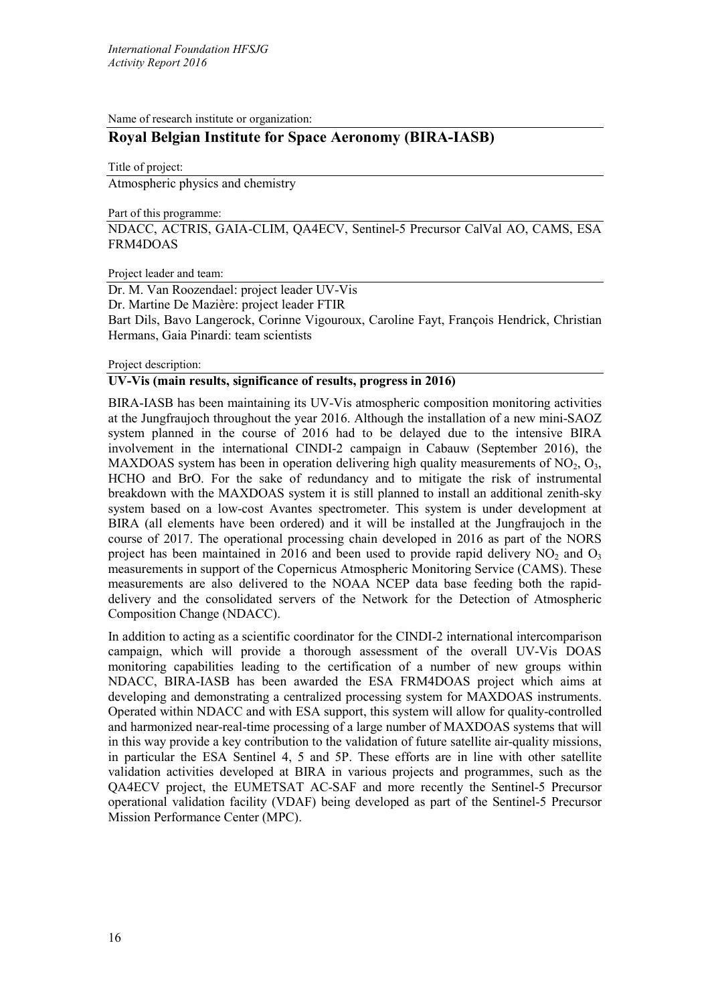Name of research institute or organization:

# **Royal Belgian Institute for Space Aeronomy (BIRA-IASB)**

Title of project: Atmospheric physics and chemistry

Part of this programme:

NDACC, ACTRIS, GAIA-CLIM, QA4ECV, Sentinel-5 Precursor CalVal AO, CAMS, ESA FRM4DOAS

### Project leader and team:

Dr. M. Van Roozendael: project leader UV-Vis Dr. Martine De Mazière: project leader FTIR Bart Dils, Bavo Langerock, Corinne Vigouroux, Caroline Fayt, François Hendrick, Christian Hermans, Gaia Pinardi: team scientists

### Project description:

## **UV-Vis (main results, significance of results, progress in 2016)**

BIRA-IASB has been maintaining its UV-Vis atmospheric composition monitoring activities at the Jungfraujoch throughout the year 2016. Although the installation of a new mini-SAOZ system planned in the course of 2016 had to be delayed due to the intensive BIRA involvement in the international CINDI-2 campaign in Cabauw (September 2016), the MAXDOAS system has been in operation delivering high quality measurements of  $NO<sub>2</sub>, O<sub>3</sub>$ , HCHO and BrO. For the sake of redundancy and to mitigate the risk of instrumental breakdown with the MAXDOAS system it is still planned to install an additional zenith-sky system based on a low-cost Avantes spectrometer. This system is under development at BIRA (all elements have been ordered) and it will be installed at the Jungfraujoch in the course of 2017. The operational processing chain developed in 2016 as part of the NORS project has been maintained in 2016 and been used to provide rapid delivery  $NO<sub>2</sub>$  and  $O<sub>3</sub>$ measurements in support of the Copernicus Atmospheric Monitoring Service (CAMS). These measurements are also delivered to the NOAA NCEP data base feeding both the rapiddelivery and the consolidated servers of the Network for the Detection of Atmospheric Composition Change (NDACC).

In addition to acting as a scientific coordinator for the CINDI-2 international intercomparison campaign, which will provide a thorough assessment of the overall UV-Vis DOAS monitoring capabilities leading to the certification of a number of new groups within NDACC, BIRA-IASB has been awarded the ESA FRM4DOAS project which aims at developing and demonstrating a centralized processing system for MAXDOAS instruments. Operated within NDACC and with ESA support, this system will allow for quality-controlled and harmonized near-real-time processing of a large number of MAXDOAS systems that will in this way provide a key contribution to the validation of future satellite air-quality missions, in particular the ESA Sentinel 4, 5 and 5P. These efforts are in line with other satellite validation activities developed at BIRA in various projects and programmes, such as the QA4ECV project, the EUMETSAT AC-SAF and more recently the Sentinel-5 Precursor operational validation facility (VDAF) being developed as part of the Sentinel-5 Precursor Mission Performance Center (MPC).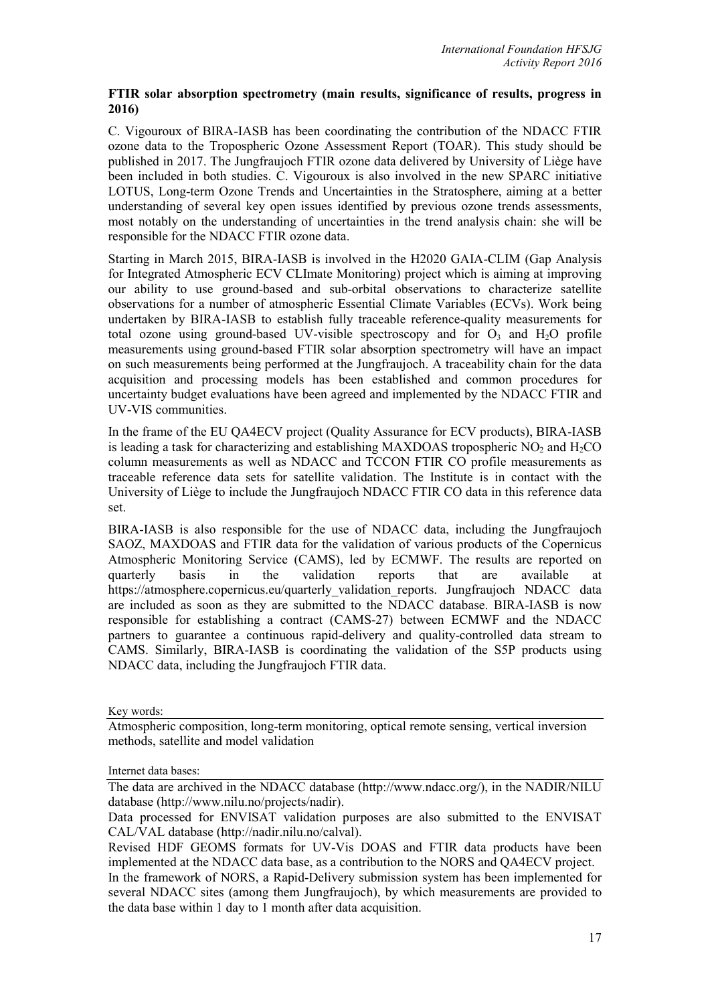# **FTIR solar absorption spectrometry (main results, significance of results, progress in 2016)**

C. Vigouroux of BIRA-IASB has been coordinating the contribution of the NDACC FTIR ozone data to the Tropospheric Ozone Assessment Report (TOAR). This study should be published in 2017. The Jungfraujoch FTIR ozone data delivered by University of Liège have been included in both studies. C. Vigouroux is also involved in the new SPARC initiative LOTUS, Long-term Ozone Trends and Uncertainties in the Stratosphere, aiming at a better understanding of several key open issues identified by previous ozone trends assessments, most notably on the understanding of uncertainties in the trend analysis chain: she will be responsible for the NDACC FTIR ozone data.

Starting in March 2015, BIRA-IASB is involved in the H2020 GAIA-CLIM (Gap Analysis for Integrated Atmospheric ECV CLImate Monitoring) project which is aiming at improving our ability to use ground-based and sub-orbital observations to characterize satellite observations for a number of atmospheric Essential Climate Variables (ECVs). Work being undertaken by BIRA-IASB to establish fully traceable reference-quality measurements for total ozone using ground-based UV-visible spectroscopy and for  $O<sub>3</sub>$  and  $H<sub>2</sub>O$  profile measurements using ground-based FTIR solar absorption spectrometry will have an impact on such measurements being performed at the Jungfraujoch. A traceability chain for the data acquisition and processing models has been established and common procedures for uncertainty budget evaluations have been agreed and implemented by the NDACC FTIR and UV-VIS communities.

In the frame of the EU QA4ECV project (Quality Assurance for ECV products), BIRA-IASB is leading a task for characterizing and establishing MAXDOAS tropospheric  $NO<sub>2</sub>$  and  $H<sub>2</sub>CO$ column measurements as well as NDACC and TCCON FTIR CO profile measurements as traceable reference data sets for satellite validation. The Institute is in contact with the University of Liège to include the Jungfraujoch NDACC FTIR CO data in this reference data set.

BIRA-IASB is also responsible for the use of NDACC data, including the Jungfraujoch SAOZ, MAXDOAS and FTIR data for the validation of various products of the Copernicus Atmospheric Monitoring Service (CAMS), led by ECMWF. The results are reported on quarterly basis in the validation reports that are available at https://atmosphere.copernicus.eu/quarterly\_validation\_reports. Jungfraujoch NDACC data are included as soon as they are submitted to the NDACC database. BIRA-IASB is now responsible for establishing a contract (CAMS-27) between ECMWF and the NDACC partners to guarantee a continuous rapid-delivery and quality-controlled data stream to CAMS. Similarly, BIRA-IASB is coordinating the validation of the S5P products using NDACC data, including the Jungfraujoch FTIR data.

Key words:

Atmospheric composition, long-term monitoring, optical remote sensing, vertical inversion methods, satellite and model validation

Internet data bases:

The data are archived in the NDACC database (http://www.ndacc.org/), in the NADIR/NILU database (http://www.nilu.no/projects/nadir).

Data processed for ENVISAT validation purposes are also submitted to the ENVISAT CAL/VAL database (http://nadir.nilu.no/calval).

Revised HDF GEOMS formats for UV-Vis DOAS and FTIR data products have been implemented at the NDACC data base, as a contribution to the NORS and QA4ECV project.

In the framework of NORS, a Rapid-Delivery submission system has been implemented for several NDACC sites (among them Jungfraujoch), by which measurements are provided to the data base within 1 day to 1 month after data acquisition.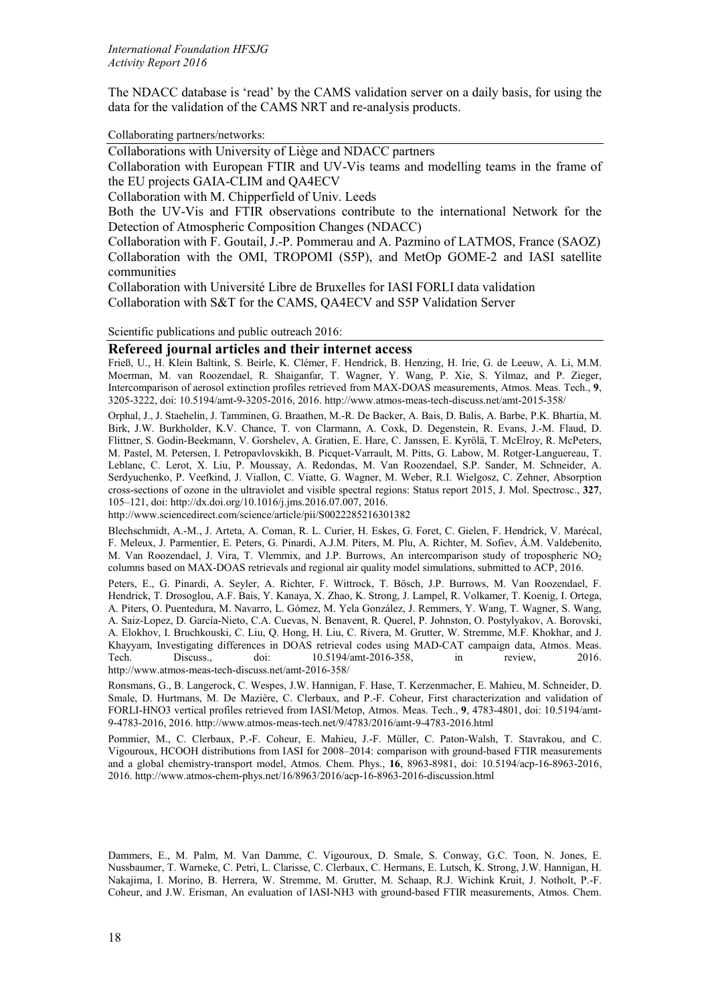The NDACC database is 'read' by the CAMS validation server on a daily basis, for using the data for the validation of the CAMS NRT and re-analysis products.

Collaborating partners/networks:

Collaborations with University of Liège and NDACC partners

Collaboration with European FTIR and UV-Vis teams and modelling teams in the frame of the EU projects GAIA-CLIM and QA4ECV

Collaboration with M. Chipperfield of Univ. Leeds

Both the UV-Vis and FTIR observations contribute to the international Network for the Detection of Atmospheric Composition Changes (NDACC)

Collaboration with F. Goutail, J.-P. Pommerau and A. Pazmino of LATMOS, France (SAOZ) Collaboration with the OMI, TROPOMI (S5P), and MetOp GOME-2 and IASI satellite communities

Collaboration with Université Libre de Bruxelles for IASI FORLI data validation Collaboration with S&T for the CAMS, QA4ECV and S5P Validation Server

Scientific publications and public outreach 2016:

#### **Refereed journal articles and their internet access**

Frieß, U., H. Klein Baltink, S. Beirle, K. Clémer, F. Hendrick, B. Henzing, H. Irie, G. de Leeuw, A. Li, M.M. Moerman, M. van Roozendael, R. Shaiganfar, T. Wagner, Y. Wang, P. Xie, S. Yilmaz, and P. Zieger, Intercomparison of aerosol extinction profiles retrieved from MAX-DOAS measurements, Atmos. Meas. Tech., **9**, 3205-3222, doi: 10.5194/amt-9-3205-2016, 2016. http://www.atmos-meas-tech-discuss.net/amt-2015-358/

Orphal, J., J. Staehelin, J. Tamminen, G. Braathen, M.-R. De Backer, A. Bais, D. Balis, A. Barbe, P.K. Bhartia, M. Birk, J.W. Burkholder, K.V. Chance, T. von Clarmann, A. Coxk, D. Degenstein, R. Evans, J.-M. Flaud, D. Flittner, S. Godin-Beekmann, V. Gorshelev, A. Gratien, E. Hare, C. Janssen, E. Kyrölä, T. McElroy, R. McPeters, M. Pastel, M. Petersen, I. Petropavlovskikh, B. Picquet-Varrault, M. Pitts, G. Labow, M. Rotger-Languereau, T. Leblanc, C. Lerot, X. Liu, P. Moussay, A. Redondas, M. Van Roozendael, S.P. Sander, M. Schneider, A. Serdyuchenko, P. Veefkind, J. Viallon, C. Viatte, G. Wagner, M. Weber, R.I. Wielgosz, C. Zehner, Absorption cross-sections of ozone in the ultraviolet and visible spectral regions: Status report 2015, J. Mol. Spectrosc., **327**, 105–121, doi: http://dx.doi.org/10.1016/j.jms.2016.07.007, 2016.

http://www.sciencedirect.com/science/article/pii/S0022285216301382

Blechschmidt, A.-M., J. Arteta, A. Coman, R. L. Curier, H. Eskes, G. Foret, C. Gielen, F. Hendrick, V. Marécal, F. Meleux, J. Parmentier, E. Peters, G. Pinardi, A.J.M. Piters, M. Plu, A. Richter, M. Sofiev, Á.M. Valdebenito, M. Van Roozendael, J. Vira, T. Vlemmix, and J.P. Burrows, An intercomparison study of tropospheric NO<sub>2</sub> columns based on MAX-DOAS retrievals and regional air quality model simulations, submitted to ACP, 2016.

Peters, E., G. Pinardi, A. Seyler, A. Richter, F. Wittrock, T. Bösch, J.P. Burrows, M. Van Roozendael, F. Hendrick, T. Drosoglou, A.F. Bais, Y. Kanaya, X. Zhao, K. Strong, J. Lampel, R. Volkamer, T. Koenig, I. Ortega, A. Piters, O. Puentedura, M. Navarro, L. Gómez, M. Yela González, J. Remmers, Y. Wang, T. Wagner, S. Wang, A. Saiz-Lopez, D. García-Nieto, C.A. Cuevas, N. Benavent, R. Querel, P. Johnston, O. Postylyakov, A. Borovski, A. Elokhov, I. Bruchkouski, C. Liu, Q. Hong, H. Liu, C. Rivera, M. Grutter, W. Stremme, M.F. Khokhar, and J. Khayyam, Investigating differences in DOAS retrieval codes using MAD-CAT campaign data, Atmos. Meas.<br>Tech. Discuss., doi:  $10.5194$ /amt-2016-358, in review, 2016. Tech. Discuss., doi: 10.5194/amt-2016-358, in review, 2016. http://www.atmos-meas-tech-discuss.net/amt-2016-358/

Ronsmans, G., B. Langerock, C. Wespes, J.W. Hannigan, F. Hase, T. Kerzenmacher, E. Mahieu, M. Schneider, D. Smale, D. Hurtmans, M. De Mazière, C. Clerbaux, and P.-F. Coheur, First characterization and validation of FORLI-HNO3 vertical profiles retrieved from IASI/Metop, Atmos. Meas. Tech., **9**, 4783-4801, doi: 10.5194/amt-9-4783-2016, 2016. http://www.atmos-meas-tech.net/9/4783/2016/amt-9-4783-2016.html

Pommier, M., C. Clerbaux, P.-F. Coheur, E. Mahieu, J.-F. Müller, C. Paton-Walsh, T. Stavrakou, and C. Vigouroux, HCOOH distributions from IASI for 2008–2014: comparison with ground-based FTIR measurements and a global chemistry-transport model, Atmos. Chem. Phys., **16**, 8963-8981, doi: 10.5194/acp-16-8963-2016, 2016. http://www.atmos-chem-phys.net/16/8963/2016/acp-16-8963-2016-discussion.html

Dammers, E., M. Palm, M. Van Damme, C. Vigouroux, D. Smale, S. Conway, G.C. Toon, N. Jones, E. Nussbaumer, T. Warneke, C. Petri, L. Clarisse, C. Clerbaux, C. Hermans, E. Lutsch, K. Strong, J.W. Hannigan, H. Nakajima, I. Morino, B. Herrera, W. Stremme, M. Grutter, M. Schaap, R.J. Wichink Kruit, J. Notholt, P.-F. Coheur, and J.W. Erisman, An evaluation of IASI-NH3 with ground-based FTIR measurements, Atmos. Chem.